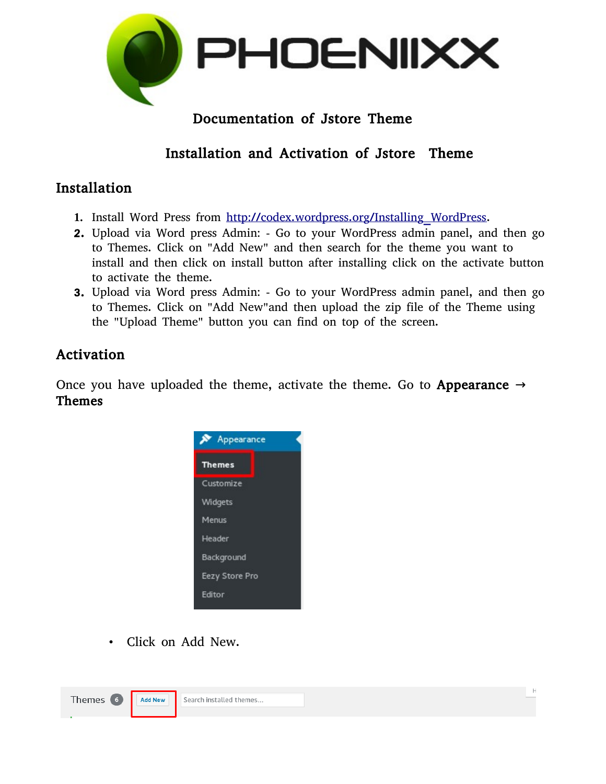

# Documentation of Jstore Theme

# Installation and Activation of Jstore Theme

## Installation

- **1.** Install Word Press from http://codex.wordpress.org/Installing WordPress.
- 2. Upload via Word press Admin: Go to your WordPress admin panel, and then go to Themes. Click on "Add New" and then search for the theme you want to install and then click on install button after installing click on the activate button to activate the theme.
- 3. Upload via Word press Admin: Go to your WordPress admin panel, and then go to Themes. Click on "Add New"and then upload the zip file of the Theme using the "Upload Theme" button you can find on top of the screen.

### Activation

Once you have uploaded the theme, activate the theme. Go to Appearance  $\rightarrow$ Themes



• Click on Add New.

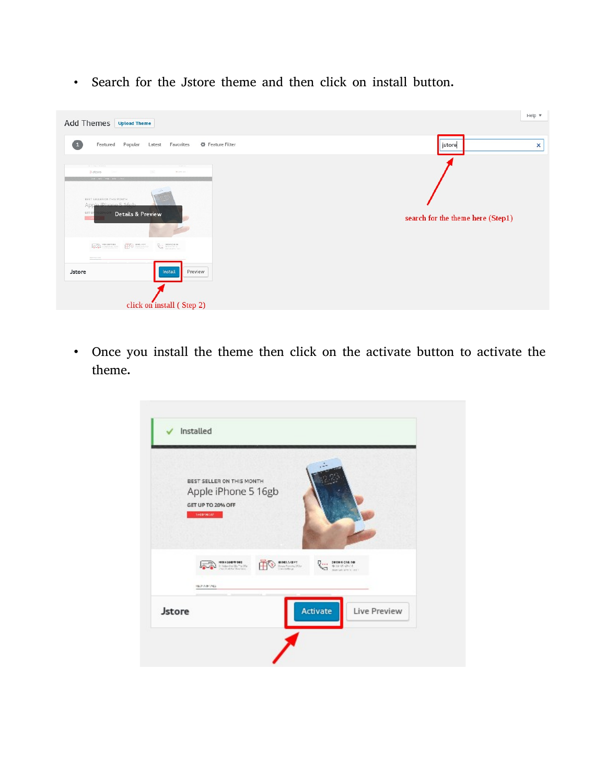• Search for the Jstore theme and then click on install button.



• Once you install the theme then click on the activate button to activate the theme.

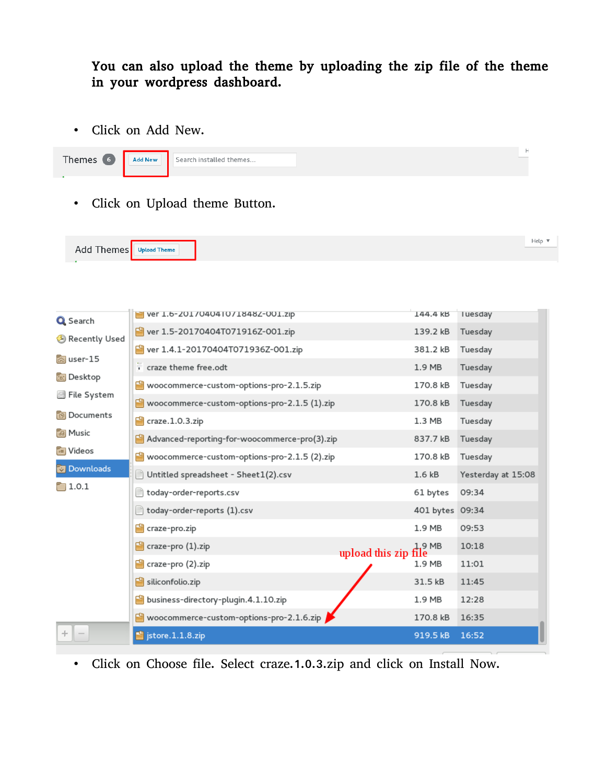#### You can also upload the theme by uploading the zip file of the theme in your wordpress dashboard.

• Click on Add New.

• Click on Upload theme Button.

| Add Themes        | <b>Upload Theme</b>                                     |                   | Help $\overline{\mathbf{v}}$ |
|-------------------|---------------------------------------------------------|-------------------|------------------------------|
|                   |                                                         |                   |                              |
|                   |                                                         |                   |                              |
| Q Search          | Ver 1.6-201704041071848Z-001.zip                        | 144.4 KB          | luesday                      |
| Recently Used     | ver 1.5-20170404T071916Z-001.zip                        | 139.2 kB          | Tuesday                      |
| ଲି user-15        | ver 1.4.1-20170404T071936Z-001.zip                      | 381.2 kB          | Tuesday                      |
|                   | craze theme free.odt                                    | 1.9 <sub>MB</sub> | Tuesday                      |
| <b>in</b> Desktop | Woocommerce-custom-options-pro-2.1.5.zip                | 170.8 kB          | Tuesday                      |
| ⊠ File System     | Woocommerce-custom-options-pro-2.1.5 (1).zip            | 170.8 kB          | Tuesday                      |
| <b>Documents</b>  | $\blacksquare$ craze.1.0.3.zip                          | $1.3$ MB          | Tuesday                      |
| <b>Ja Music</b>   | Advanced-reporting-for-woocommerce-pro(3).zip           | 837.7 kB          | Tuesday                      |
| <b>M</b> Videos   | Woocommerce-custom-options-pro-2.1.5 (2).zip            | 170.8 kB          | Tuesday                      |
| <b>Downloads</b>  | Untitled spreadsheet - Sheet1(2).csv                    | 1.6 <sub>kB</sub> | Yesterday at 15:08           |
| $\Box$ 1.0.1      | today-order-reports.csv                                 | 61 bytes          | 09:34                        |
|                   | today-order-reports (1).csv                             | 401 bytes 09:34   |                              |
|                   | craze-pro.zip                                           | 1.9 MB            | 09:53                        |
|                   | craze-pro (1).zip<br>upload this zip file               | 1.9MB             | 10:18                        |
|                   | craze-pro (2).zip                                       | 1.9 MB            | 11:01                        |
|                   | siliconfolio.zip                                        | 31.5 kB           | 11:45                        |
|                   | business-directory-plugin.4.1.10.zip<br>rs              | 1.9 MB            | 12:28                        |
|                   | $\blacksquare$ woocommerce-custom-options-pro-2.1.6.zip | 170.8 kB          | 16:35                        |
| adque             | $\blacksquare$ jstore.1.1.8.zip                         | 919.5 kB          | 16:52                        |

• Click on Choose file. Select craze.1.0.3.zip and click on Install Now.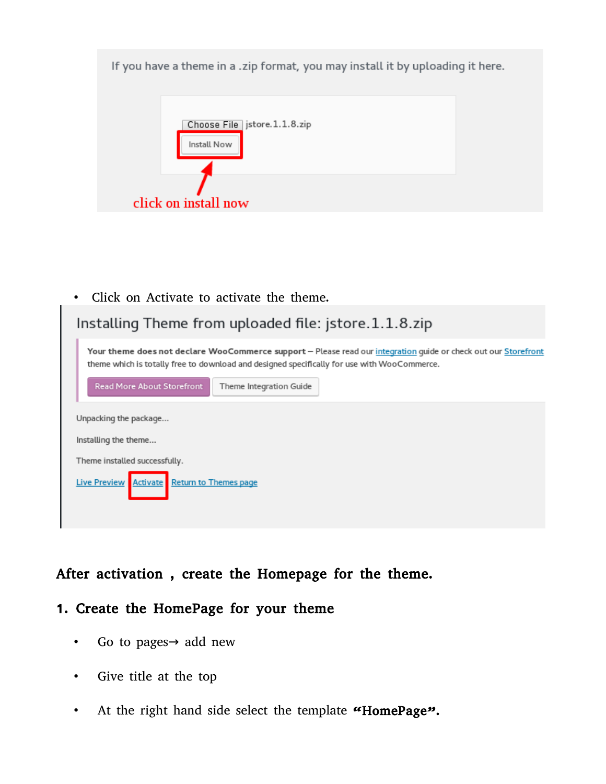If you have a theme in a .zip format, you may install it by uploading it here.



• Click on Activate to activate the theme.

| Installing Theme from uploaded file: jstore.1.1.8.zip                                                                                                                                                          |  |  |  |
|----------------------------------------------------------------------------------------------------------------------------------------------------------------------------------------------------------------|--|--|--|
| Your theme does not declare WooCommerce support - Please read our integration guide or check out our Storefront<br>theme which is totally free to download and designed specifically for use with WooCommerce. |  |  |  |
| <b>Read More About Storefront</b><br>Theme Integration Guide                                                                                                                                                   |  |  |  |
| Unpacking the package                                                                                                                                                                                          |  |  |  |
| Installing the theme                                                                                                                                                                                           |  |  |  |
| Theme installed successfully.                                                                                                                                                                                  |  |  |  |
| Activate<br><b>Return to Themes page</b><br><b>Live Preview</b>                                                                                                                                                |  |  |  |

## After activation , create the Homepage for the theme.

#### 1. Create the HomePage for your theme

- Go to pages  $\rightarrow$  add new
- Give title at the top
- At the right hand side select the template "HomePage".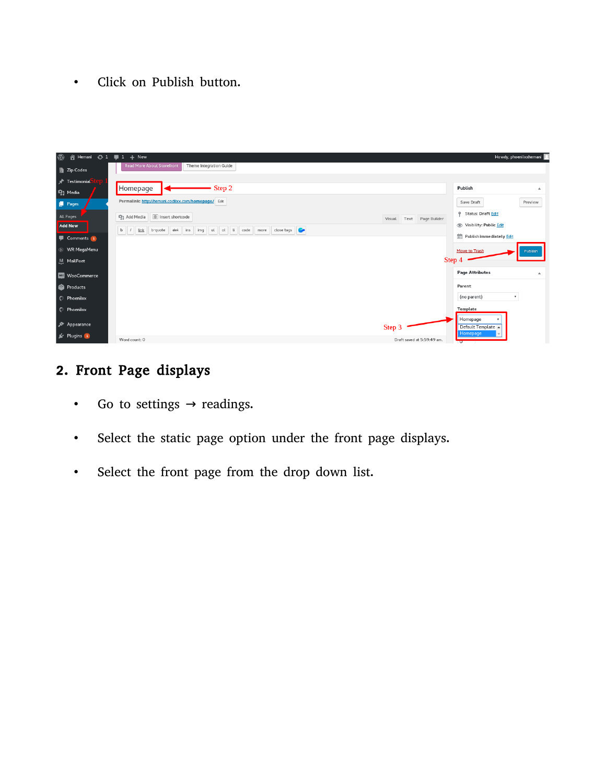• Click on Publish button.



# 2. Front Page displays

- Go to settings  $\rightarrow$  readings.
- Select the static page option under the front page displays.
- Select the front page from the drop down list.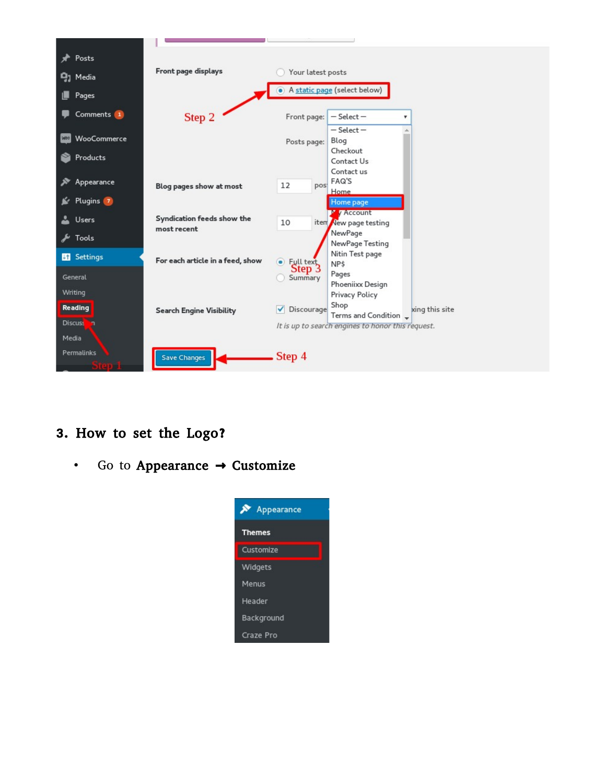

- 3. How to set the Logo?
	- Go to Appearance  $\rightarrow$  Customize

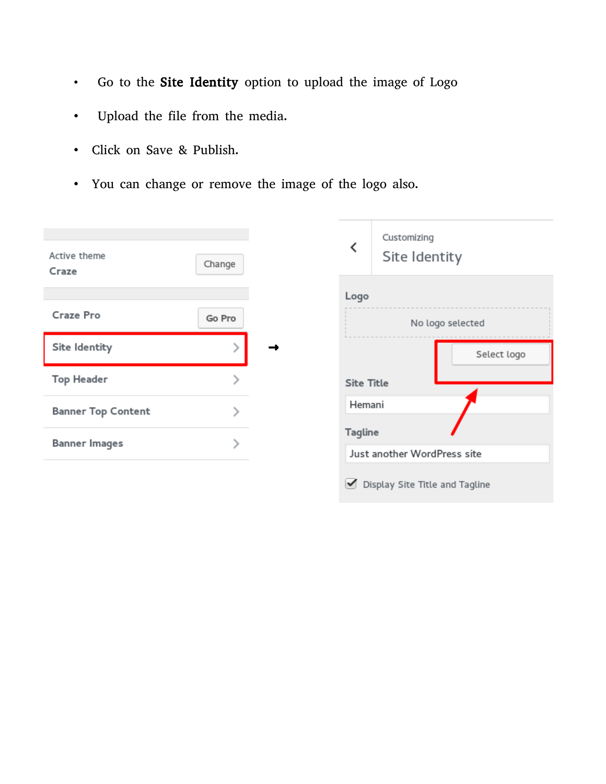- Go to the Site Identity option to upload the image of Logo
- Upload the file from the media.
- Click on Save & Publish.
- You can change or remove the image of the logo also.

| Active theme<br>Craze     | Change |   | Customizing<br>≺<br>Site Identity             |
|---------------------------|--------|---|-----------------------------------------------|
| Craze Pro                 | Go Pro |   | Logo                                          |
| Site Identity             |        | → | No logo selected<br>Select logo               |
| <b>Top Header</b>         |        |   | <b>Site Title</b>                             |
| <b>Banner Top Content</b> |        |   | Hemani                                        |
| <b>Banner Images</b>      |        |   | <b>Tagline</b><br>Just another WordPress site |
|                           |        |   | Display Site Title and Tagline<br>✔           |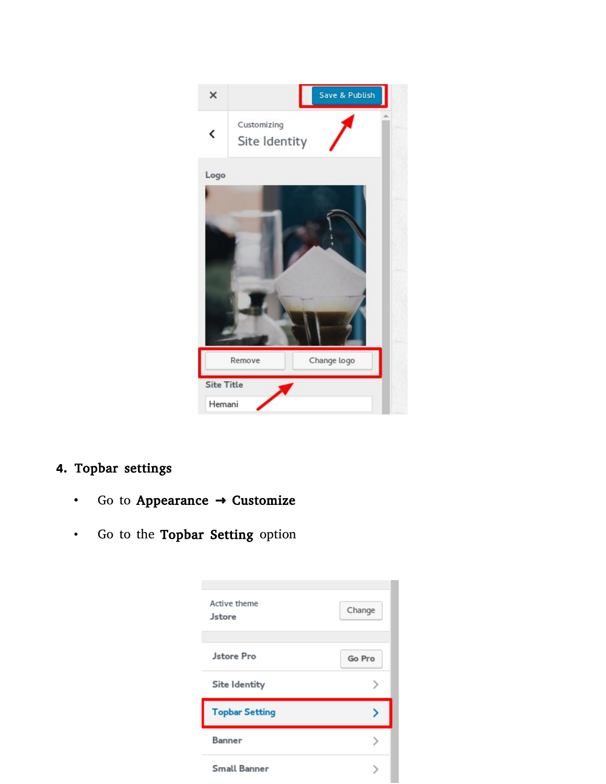

# 4. Topbar settings

- Go to Appearance → Customize
- Go to the Topbar Setting option

| Active theme<br>Jstore | Change |
|------------------------|--------|
| <b>Jstore Pro</b>      | Go Pro |
| Site Identity          |        |
| <b>Topbar Setting</b>  |        |
| Banner                 |        |
| Small Banner           |        |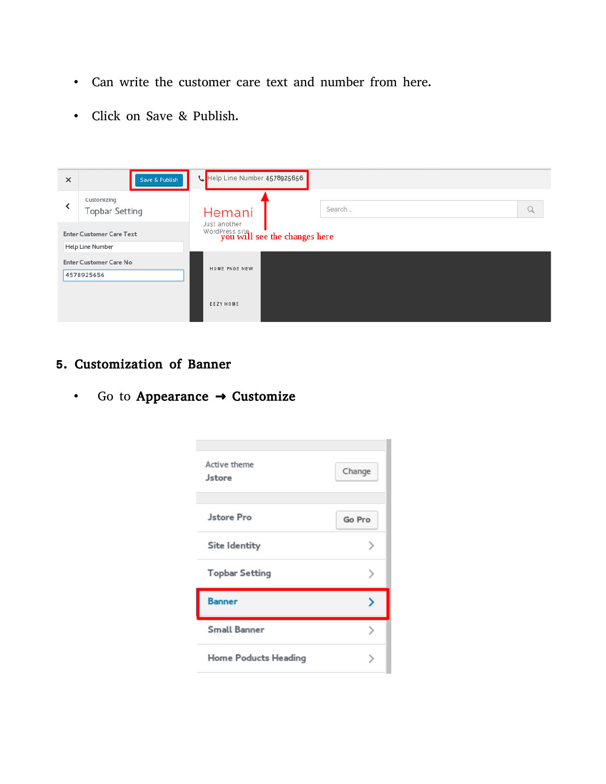- Can write the customer care text and number from here.
- Click on Save & Publish.

| $\times$ | Save & Publish                                      | Help Line Number 4578925656                                  |  |
|----------|-----------------------------------------------------|--------------------------------------------------------------|--|
|          | Customizing<br><b>Topbar Setting</b>                | Search<br>Hemani                                             |  |
|          | <b>Enter Customer Care Text</b><br>Help Line Number | Just another<br>WordPress site 1 <b>for the changes here</b> |  |
|          | <b>Enter Customer Care No</b><br>4578925656         | HOME PAGE NEW                                                |  |
|          |                                                     | EEZY HOME                                                    |  |

#### 5. Customization of Banner

• Go to Appearance  $\rightarrow$  Customize

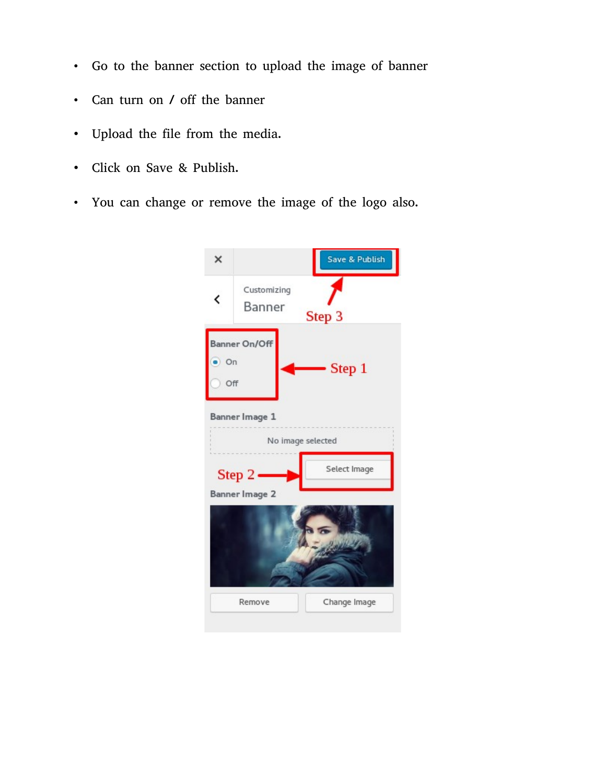- Go to the banner section to upload the image of banner
- Can turn on / off the banner
- Upload the file from the media.
- Click on Save & Publish.
- You can change or remove the image of the logo also.

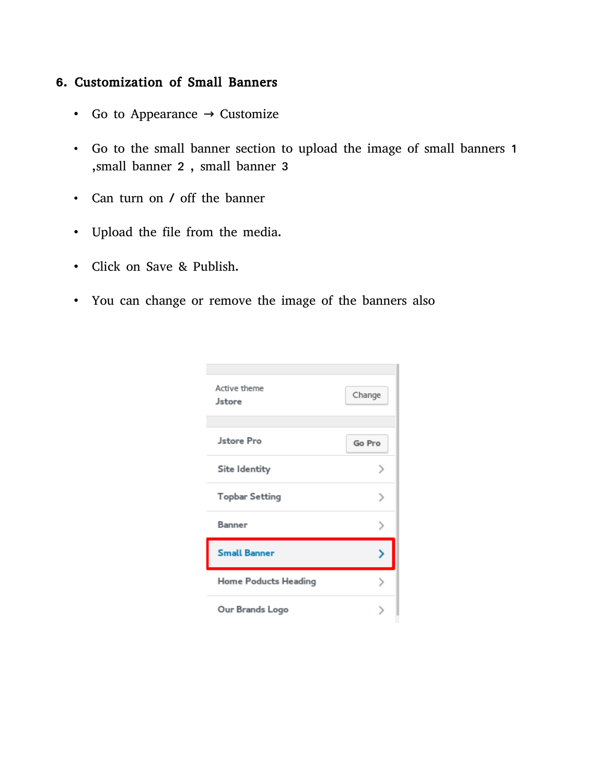#### 6. Customization of Small Banners

- Go to Appearance  $\rightarrow$  Customize
- Go to the small banner section to upload the image of small banners 1 ,small banner 2 , small banner 3
- Can turn on / off the banner
- Upload the file from the media.
- Click on Save & Publish.
- You can change or remove the image of the banners also

| Active theme<br>Jstore | Change |
|------------------------|--------|
|                        |        |
| <b>Jstore Pro</b>      | Go Pro |
| Site Identity          |        |
| <b>Topbar Setting</b>  |        |
| Banner                 |        |
| <b>Small Banner</b>    |        |
| Home Poducts Heading   |        |
| Our Brands Logo        |        |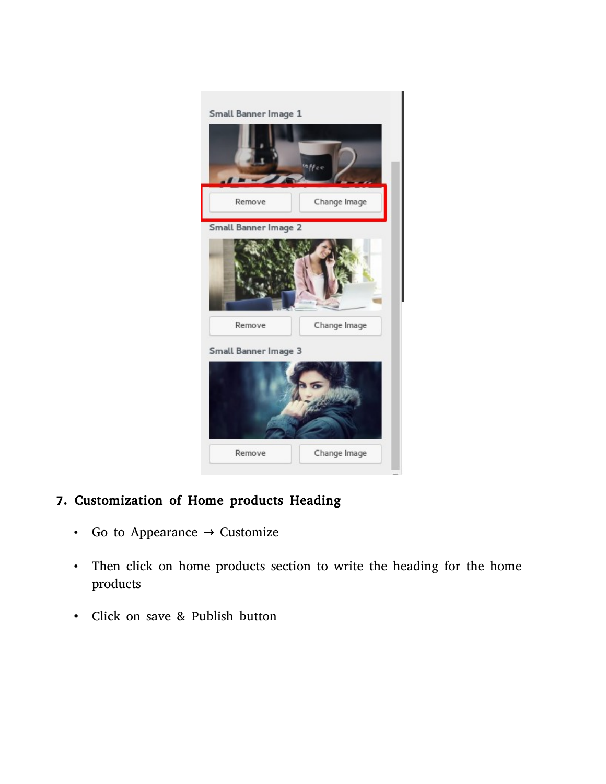

### 7. Customization of Home products Heading

- Go to Appearance  $\rightarrow$  Customize
- Then click on home products section to write the heading for the home products
- Click on save & Publish button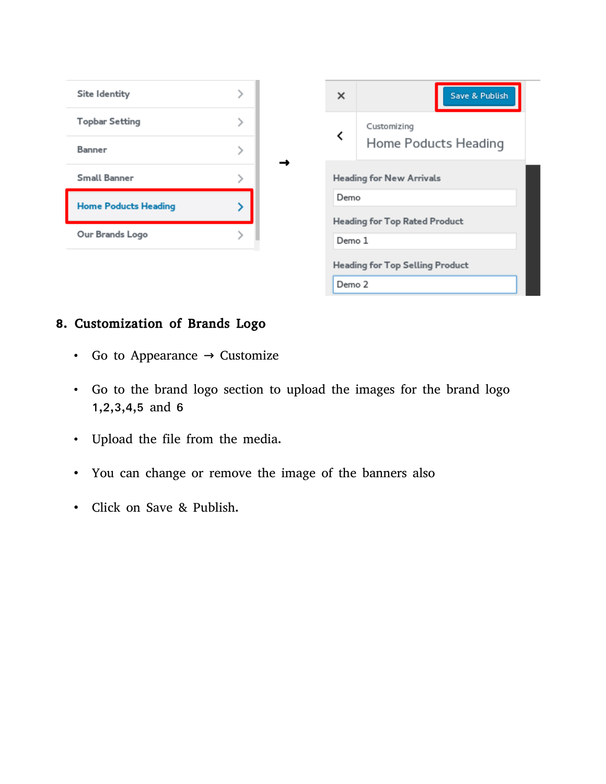

#### 8. Customization of Brands Logo

- Go to Appearance  $\rightarrow$  Customize
- Go to the brand logo section to upload the images for the brand logo 1,2,3,4,5 and 6
- Upload the file from the media.
- You can change or remove the image of the banners also
- Click on Save & Publish.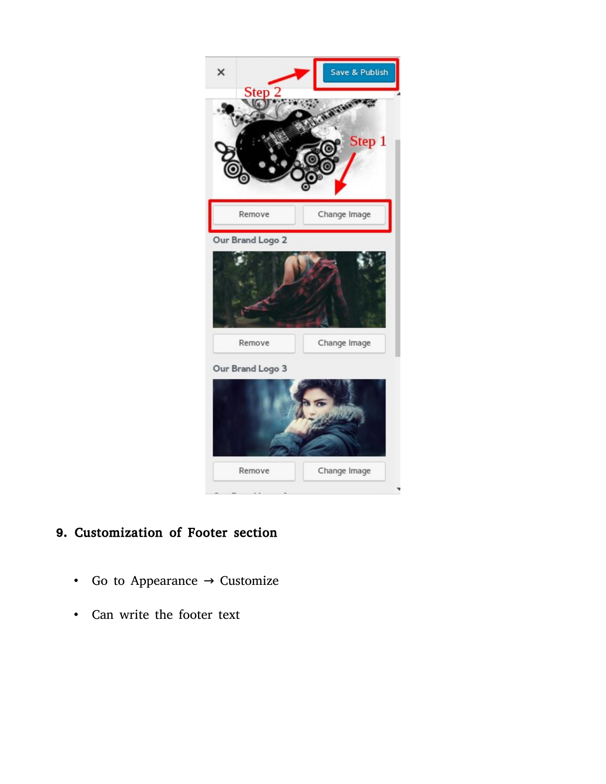

# 9. Customization of Footer section

- Go to Appearance  $\rightarrow$  Customize
- Can write the footer text